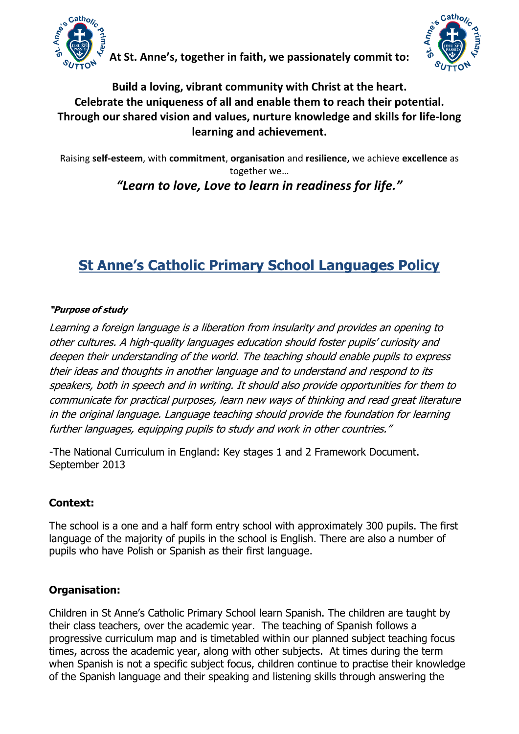

**At St. Anne's, together in faith, we passionately commit to:**



## **Build a loving, vibrant community with Christ at the heart. Celebrate the uniqueness of all and enable them to reach their potential. Through our shared vision and values, nurture knowledge and skills for life-long learning and achievement.**

Raising **self-esteem**, with **commitment**, **organisation** and **resilience,** we achieve **excellence** as together we…

*"Learn to love, Love to learn in readiness for life."*

# **St Anne's Catholic Primary School Languages Policy**

#### **"Purpose of study**

Learning a foreign language is a liberation from insularity and provides an opening to other cultures. A high-quality languages education should foster pupils' curiosity and deepen their understanding of the world. The teaching should enable pupils to express their ideas and thoughts in another language and to understand and respond to its speakers, both in speech and in writing. It should also provide opportunities for them to communicate for practical purposes, learn new ways of thinking and read great literature in the original language. Language teaching should provide the foundation for learning further languages, equipping pupils to study and work in other countries."

-The National Curriculum in England: Key stages 1 and 2 Framework Document. September 2013

## **Context:**

The school is a one and a half form entry school with approximately 300 pupils. The first language of the majority of pupils in the school is English. There are also a number of pupils who have Polish or Spanish as their first language.

#### **Organisation:**

Children in St Anne's Catholic Primary School learn Spanish. The children are taught by their class teachers, over the academic year. The teaching of Spanish follows a progressive curriculum map and is timetabled within our planned subject teaching focus times, across the academic year, along with other subjects. At times during the term when Spanish is not a specific subject focus, children continue to practise their knowledge of the Spanish language and their speaking and listening skills through answering the